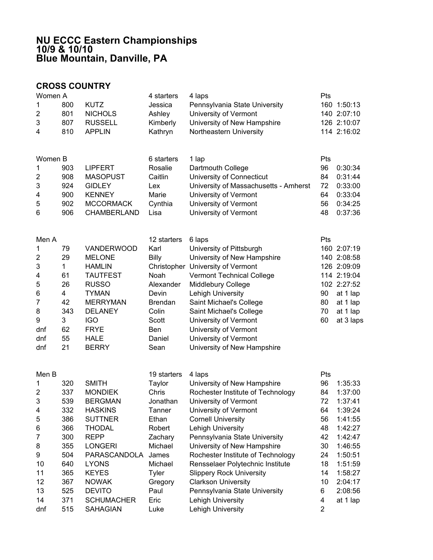#### **NU ECCC Eastern Championships 10/9 & 10/10 Blue Mountain, Danville, PA**

# **CROSS COUNTRY**

| Women A                 |     |                   | 4 starters     | 4 laps                                | Pts            |             |
|-------------------------|-----|-------------------|----------------|---------------------------------------|----------------|-------------|
| 1                       | 800 | <b>KUTZ</b>       | Jessica        | Pennsylvania State University         |                | 160 1:50:13 |
| $\overline{\mathbf{c}}$ | 801 | <b>NICHOLS</b>    | Ashley         | University of Vermont                 |                | 140 2:07:10 |
| 3                       | 807 | <b>RUSSELL</b>    | Kimberly       | University of New Hampshire           |                | 126 2:10:07 |
| 4                       | 810 | <b>APPLIN</b>     | Kathryn        | Northeastern University               |                | 114 2:16:02 |
|                         |     |                   |                |                                       |                |             |
| Women B                 |     |                   | 6 starters     | 1 lap                                 | Pts            |             |
| 1                       | 903 | <b>LIPFERT</b>    | Rosalie        | Dartmouth College                     | 96             | 0:30:34     |
| $\overline{\mathbf{c}}$ | 908 | <b>MASOPUST</b>   | Caitlin        | University of Connecticut             | 84             | 0:31:44     |
| 3                       | 924 | <b>GIDLEY</b>     | Lex            | University of Massachusetts - Amherst | 72             | 0:33:00     |
| 4                       | 900 | <b>KENNEY</b>     | Marie          | University of Vermont                 | 64             | 0:33:04     |
| 5                       | 902 | <b>MCCORMACK</b>  | Cynthia        | University of Vermont                 | 56             | 0:34:25     |
| 6                       | 906 | CHAMBERLAND       | Lisa           | University of Vermont                 | 48             | 0:37:36     |
| Men A                   |     |                   | 12 starters    | 6 laps                                | <b>Pts</b>     |             |
| 1                       | 79  | <b>VANDERWOOD</b> | Karl           | University of Pittsburgh              |                | 160 2:07:19 |
| $\overline{\mathbf{c}}$ | 29  | <b>MELONE</b>     | <b>Billy</b>   | University of New Hampshire           |                | 140 2:08:58 |
| 3                       | 1   | <b>HAMLIN</b>     |                | Christopher University of Vermont     |                | 126 2:09:09 |
| 4                       | 61  | <b>TAUTFEST</b>   | Noah           | Vermont Technical College             |                | 114 2:19:04 |
| 5                       | 26  | <b>RUSSO</b>      | Alexander      | <b>Middlebury College</b>             |                | 102 2:27:52 |
| 6                       | 4   | <b>TYMAN</b>      | Devin          | <b>Lehigh University</b>              | 90             | at 1 lap    |
| 7                       | 42  | <b>MERRYMAN</b>   | <b>Brendan</b> | Saint Michael's College               | 80             | at 1 lap    |
| 8                       | 343 | <b>DELANEY</b>    | Colin          | Saint Michael's College               | 70             | at 1 lap    |
| 9                       | 3   | <b>IGO</b>        | Scott          | University of Vermont                 | 60             | at 3 laps   |
| dnf                     | 62  | <b>FRYE</b>       | Ben            | University of Vermont                 |                |             |
| dnf                     | 55  | <b>HALE</b>       | Daniel         | University of Vermont                 |                |             |
| dnf                     | 21  | <b>BERRY</b>      | Sean           | University of New Hampshire           |                |             |
| Men B                   |     |                   | 19 starters    | 4 laps                                | Pts            |             |
| 1                       | 320 | <b>SMITH</b>      | Taylor         | University of New Hampshire           | 96             | 1:35:33     |
| $\overline{c}$          | 337 | <b>MONDIEK</b>    | Chris          | Rochester Institute of Technology     | 84             | 1:37:00     |
| 3                       | 539 | <b>BERGMAN</b>    | Jonathan       | University of Vermont                 | 72             | 1:37:41     |
| 4                       | 332 | <b>HASKINS</b>    | Tanner         | University of Vermont                 | 64             | 1:39:24     |
| 5                       | 386 | <b>SUTTNER</b>    | Ethan          | <b>Cornell University</b>             | 56             | 1:41:55     |
| 6                       | 366 | <b>THODAL</b>     | Robert         | Lehigh University                     | 48             | 1:42:27     |
| 7                       | 300 | <b>REPP</b>       | Zachary        | Pennsylvania State University         | 42             | 1:42:47     |
| 8                       | 355 | <b>LONGERI</b>    | Michael        | University of New Hampshire           | 30             | 1:46:55     |
| 9                       | 504 | PARASCANDOLA      | James          | Rochester Institute of Technology     | 24             | 1:50:51     |
| 10                      | 640 | <b>LYONS</b>      | Michael        | Rensselaer Polytechnic Institute      | 18             | 1:51:59     |
| 11                      | 365 | <b>KEYES</b>      | <b>Tyler</b>   | <b>Slippery Rock University</b>       | 14             | 1:58:27     |
| 12                      | 367 | <b>NOWAK</b>      | Gregory        | <b>Clarkson University</b>            | 10             | 2:04:17     |
| 13                      | 525 | <b>DEVITO</b>     | Paul           | Pennsylvania State University         | 6              | 2:08:56     |
| 14                      | 371 | <b>SCHUMACHER</b> | Eric           | Lehigh University                     | 4              | at 1 lap    |
| dnf                     | 515 | <b>SAHAGIAN</b>   | Luke           | Lehigh University                     | $\overline{2}$ |             |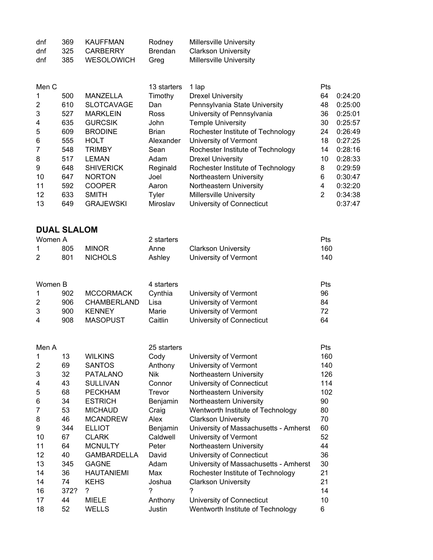| dnf | 369  | KAUFFMAN          | Rodney         | Millersville University |
|-----|------|-------------------|----------------|-------------------------|
| dnf | 325. | <b>CARBERRY</b>   | <b>Brendan</b> | Clarkson University     |
| dnf | 385  | <b>WESOLOWICH</b> | Grea           | Millersville University |

| Men C |     |                   | 13 starters  | 1 lap                             | Pts            |         |
|-------|-----|-------------------|--------------|-----------------------------------|----------------|---------|
| 1     | 500 | MANZELLA          | Timothy      | <b>Drexel University</b>          | 64             | 0:24:20 |
| 2     | 610 | <b>SLOTCAVAGE</b> | Dan          | Pennsylvania State University     | 48             | 0:25:00 |
| 3     | 527 | <b>MARKLEIN</b>   | <b>Ross</b>  | University of Pennsylvania        | 36             | 0:25:01 |
| 4     | 635 | <b>GURCSIK</b>    | <b>John</b>  | <b>Temple University</b>          | 30             | 0:25:57 |
| 5     | 609 | <b>BRODINE</b>    | <b>Brian</b> | Rochester Institute of Technology | 24             | 0:26:49 |
| 6     | 555 | <b>HOLT</b>       | Alexander    | University of Vermont             | 18             | 0:27:25 |
| 7     | 548 | <b>TRIMBY</b>     | Sean         | Rochester Institute of Technology | 14             | 0:28:16 |
| 8     | 517 | <b>LEMAN</b>      | Adam         | <b>Drexel University</b>          | 10             | 0:28:33 |
| 9     | 648 | <b>SHIVERICK</b>  | Reginald     | Rochester Institute of Technology | 8              | 0:29:59 |
| 10    | 647 | <b>NORTON</b>     | Joel         | Northeastern University           | 6              | 0:30:47 |
| 11    | 592 | <b>COOPER</b>     | Aaron        | Northeastern University           | 4              | 0:32:20 |
| 12    | 633 | <b>SMITH</b>      | Tyler        | <b>Millersville University</b>    | $\overline{2}$ | 0:34:38 |
| 13    | 649 | <b>GRAJEWSKI</b>  | Miroslav     | University of Connecticut         |                | 0:37:47 |

### **DUAL SLALOM**

| Women A |       |                | 2 starters |                            | Pts. |
|---------|-------|----------------|------------|----------------------------|------|
|         | 805   | <b>MINOR</b>   | Anne       | <b>Clarkson University</b> | 160  |
|         | 801 - | <b>NICHOLS</b> | Ashley     | University of Vermont      | 140  |

|   | Women B |                    | 4 starters |                           | <b>Pts</b> |
|---|---------|--------------------|------------|---------------------------|------------|
|   | 902     | <b>MCCORMACK</b>   | Cynthia    | University of Vermont     | 96         |
| 2 | 906.    | <b>CHAMBERLAND</b> | Lisa       | University of Vermont     | 84         |
| 3 | 900.    | <b>KENNEY</b>      | Marie      | University of Vermont     | 72         |
| 4 | 908     | <b>MASOPUST</b>    | Caitlin    | University of Connecticut | 64         |

| Men A |      |                    | 25 starters |                                       | Pts |
|-------|------|--------------------|-------------|---------------------------------------|-----|
| 1     | 13   | <b>WILKINS</b>     | Cody        | University of Vermont                 | 160 |
| 2     | 69   | <b>SANTOS</b>      | Anthony     | University of Vermont                 | 140 |
| 3     | 32   | <b>PATALANO</b>    | <b>Nik</b>  | Northeastern University               | 126 |
| 4     | 43   | <b>SULLIVAN</b>    | Connor      | University of Connecticut             | 114 |
| 5     | 68   | <b>PECKHAM</b>     | Trevor      | Northeastern University               | 102 |
| 6     | 34   | <b>ESTRICH</b>     | Benjamin    | Northeastern University               | 90  |
| 7     | 53   | <b>MICHAUD</b>     | Craig       | Wentworth Institute of Technology     | 80  |
| 8     | 46   | <b>MCANDREW</b>    | Alex        | <b>Clarkson University</b>            | 70  |
| 9     | 344  | <b>ELLIOT</b>      | Benjamin    | University of Massachusetts - Amherst | 60  |
| 10    | 67   | <b>CLARK</b>       | Caldwell    | University of Vermont                 | 52  |
| 11    | 64   | <b>MCNULTY</b>     | Peter       | Northeastern University               | 44  |
| 12    | 40   | <b>GAMBARDELLA</b> | David       | University of Connecticut             | 36  |
| 13    | 345  | <b>GAGNE</b>       | Adam        | University of Massachusetts - Amherst | 30  |
| 14    | 36   | <b>HAUTANIEMI</b>  | Max         | Rochester Institute of Technology     | 21  |
| 14    | 74   | <b>KEHS</b>        | Joshua      | <b>Clarkson University</b>            | 21  |
| 16    | 372? | ?                  | 7           | ?                                     | 14  |
| 17    | 44   | <b>MIELE</b>       | Anthony     | University of Connecticut             | 10  |
| 18    | 52   | <b>WELLS</b>       | Justin      | Wentworth Institute of Technology     | 6   |
|       |      |                    |             |                                       |     |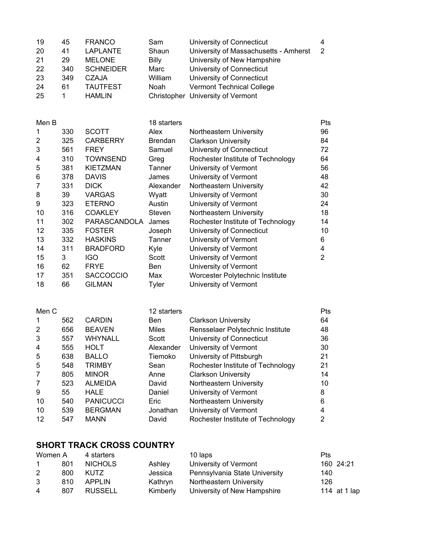| 19<br>20<br>21<br>22<br>23<br>24<br>25 | 45<br>41<br>29<br>340<br>349<br>61<br>1 | <b>FRANCO</b><br><b>LAPLANTE</b><br><b>MELONE</b><br><b>SCHNEIDER</b><br><b>CZAJA</b><br><b>TAUTFEST</b><br><b>HAMLIN</b> | Sam<br>Shaun<br>Billy<br>Marc<br>William<br>Noah | University of Connecticut<br>University of Massachusetts - Amherst<br>University of New Hampshire<br>University of Connecticut<br>University of Connecticut<br>Vermont Technical College<br>Christopher University of Vermont | 4<br>$\overline{2}$ |
|----------------------------------------|-----------------------------------------|---------------------------------------------------------------------------------------------------------------------------|--------------------------------------------------|-------------------------------------------------------------------------------------------------------------------------------------------------------------------------------------------------------------------------------|---------------------|
| Men B                                  |                                         |                                                                                                                           | 18 starters                                      |                                                                                                                                                                                                                               | Pts                 |
| 1                                      | 330                                     | <b>SCOTT</b>                                                                                                              | Alex                                             | Northeastern University                                                                                                                                                                                                       | 96                  |
| $\overline{2}$                         | 325                                     | <b>CARBERRY</b>                                                                                                           | <b>Brendan</b>                                   | <b>Clarkson University</b>                                                                                                                                                                                                    | 84                  |
| 3                                      | 561                                     | <b>FREY</b>                                                                                                               | Samuel                                           | University of Connecticut                                                                                                                                                                                                     | 72                  |
| 4                                      | 310                                     | <b>TOWNSEND</b>                                                                                                           | Greg                                             | Rochester Institute of Technology                                                                                                                                                                                             | 64                  |
| 5                                      | 381                                     | <b>KIETZMAN</b>                                                                                                           | Tanner                                           | University of Vermont                                                                                                                                                                                                         | 56                  |
| 6                                      | 378                                     | <b>DAVIS</b>                                                                                                              | James                                            | University of Vermont                                                                                                                                                                                                         | 48                  |
| 7                                      | 331                                     | <b>DICK</b>                                                                                                               | Alexander                                        | Northeastern University                                                                                                                                                                                                       | 42                  |
| 8                                      | 39                                      | <b>VARGAS</b>                                                                                                             | Wyatt                                            | University of Vermont                                                                                                                                                                                                         | 30                  |
| 9                                      | 323                                     | <b>ETERNO</b>                                                                                                             | Austin                                           | University of Vermont                                                                                                                                                                                                         | 24                  |
| 10                                     | 316                                     | <b>COAKLEY</b>                                                                                                            | Steven                                           | Northeastern University                                                                                                                                                                                                       | 18                  |
| 11                                     | 302                                     | PARASCANDOLA                                                                                                              | James                                            | Rochester Institute of Technology                                                                                                                                                                                             | 14                  |
| 12                                     | 335                                     | <b>FOSTER</b>                                                                                                             | Joseph                                           | University of Connecticut                                                                                                                                                                                                     | 10                  |
| 13                                     | 332                                     | <b>HASKINS</b>                                                                                                            | Tanner                                           | University of Vermont                                                                                                                                                                                                         | 6                   |
| 14                                     | 311                                     | <b>BRADFORD</b>                                                                                                           | Kyle                                             | University of Vermont                                                                                                                                                                                                         | 4                   |
| 15                                     | 3                                       | <b>IGO</b>                                                                                                                | Scott                                            | University of Vermont                                                                                                                                                                                                         | $\overline{2}$      |
| 16                                     | 62                                      | <b>FRYE</b>                                                                                                               | Ben                                              | University of Vermont                                                                                                                                                                                                         |                     |
| 17                                     | 351                                     | <b>SACCOCCIO</b>                                                                                                          | Max                                              | Worcester Polytechnic Institute                                                                                                                                                                                               |                     |
| 18                                     | 66                                      | <b>GILMAN</b>                                                                                                             | <b>Tyler</b>                                     | University of Vermont                                                                                                                                                                                                         |                     |
| Men C                                  |                                         |                                                                                                                           | 12 starters                                      |                                                                                                                                                                                                                               | Pts                 |
| 1                                      | 562                                     | <b>CARDIN</b>                                                                                                             | <b>Ben</b>                                       | <b>Clarkson University</b>                                                                                                                                                                                                    | 64                  |
| $\overline{2}$                         | 656                                     | <b>BEAVEN</b>                                                                                                             | <b>Miles</b>                                     | Rensselaer Polytechnic Institute                                                                                                                                                                                              | 48                  |
| 3                                      | 557                                     | WHYNALL                                                                                                                   | Scott                                            | University of Connecticut                                                                                                                                                                                                     | 36                  |
| 4                                      | 555                                     | <b>HOLT</b>                                                                                                               | Alexander                                        | University of Vermont                                                                                                                                                                                                         | 30                  |
| 5                                      | 638                                     | <b>BALLO</b>                                                                                                              | Tiemoko                                          | University of Pittsburgh                                                                                                                                                                                                      | 21                  |
| 5                                      | 548                                     | <b>TRIMBY</b>                                                                                                             | Sean                                             | Rochester Institute of Technology                                                                                                                                                                                             | 21                  |
| 7                                      | 805                                     | <b>MINOR</b>                                                                                                              | Anne                                             | <b>Clarkson University</b>                                                                                                                                                                                                    | 14                  |
| 7                                      | 523                                     | <b>ALMEIDA</b>                                                                                                            | David                                            | Northeastern University                                                                                                                                                                                                       | 10                  |
| 9                                      | 55                                      | <b>HALE</b>                                                                                                               | Daniel                                           | University of Vermont                                                                                                                                                                                                         | 8                   |
| 10                                     | 540                                     | <b>PANICUCCI</b>                                                                                                          | Eric                                             | Northeastern University                                                                                                                                                                                                       | 6                   |
| 10                                     | 539                                     | <b>BERGMAN</b>                                                                                                            | Jonathan                                         | University of Vermont                                                                                                                                                                                                         | 4                   |
| 12                                     | 547                                     | <b>MANN</b>                                                                                                               | David                                            | Rochester Institute of Technology                                                                                                                                                                                             | $\overline{2}$      |

## **SHORT TRACK CROSS COUNTRY**

|              | Women A | 4 starters     |          | 10 laps                       | <b>Pts</b>   |
|--------------|---------|----------------|----------|-------------------------------|--------------|
| $\mathbf{1}$ | 801     | <b>NICHOLS</b> | Ashley   | University of Vermont         | 160 24:21    |
| 2            | 800     | <b>KUTZ</b>    | Jessica  | Pennsylvania State University | 140          |
| 3            | 810     | <b>APPLIN</b>  | Kathryn  | Northeastern University       | 126          |
| 4            | 807     | <b>RUSSELL</b> | Kimberly | University of New Hampshire   | 114 at 1 lap |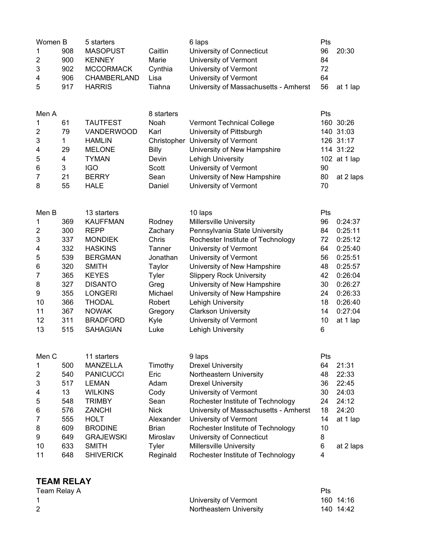| Women B                 |     | 5 starters        |              | 6 laps                                | Pts        |              |
|-------------------------|-----|-------------------|--------------|---------------------------------------|------------|--------------|
| 1                       | 908 | <b>MASOPUST</b>   | Caitlin      | University of Connecticut             | 96         | 20:30        |
| $\overline{2}$          | 900 | <b>KENNEY</b>     | Marie        | University of Vermont                 | 84         |              |
| 3                       | 902 | <b>MCCORMACK</b>  | Cynthia      | University of Vermont                 | 72         |              |
| 4                       | 906 | CHAMBERLAND       | Lisa         | University of Vermont                 | 64         |              |
| 5                       | 917 | <b>HARRIS</b>     | Tiahna       | University of Massachusetts - Amherst | 56         | at 1 lap     |
|                         |     |                   |              |                                       |            |              |
|                         |     |                   |              |                                       |            |              |
| Men A                   |     |                   | 8 starters   |                                       | Pts        |              |
| 1                       | 61  | <b>TAUTFEST</b>   | Noah         | Vermont Technical College             |            | 160 30:26    |
| 2                       | 79  | <b>VANDERWOOD</b> | Karl         | University of Pittsburgh              |            | 140 31:03    |
| 3                       | 1   | <b>HAMLIN</b>     |              | Christopher University of Vermont     |            | 126 31:17    |
| 4                       | 29  | <b>MELONE</b>     | <b>Billy</b> | University of New Hampshire           |            | 114 31:22    |
| 5                       | 4   | <b>TYMAN</b>      | Devin        | Lehigh University                     |            | 102 at 1 lap |
| 6                       | 3   | <b>IGO</b>        | Scott        | University of Vermont                 | 90         |              |
| 7                       | 21  | <b>BERRY</b>      | Sean         | University of New Hampshire           | 80         | at 2 laps    |
| 8                       | 55  | <b>HALE</b>       | Daniel       | University of Vermont                 | 70         |              |
|                         |     |                   |              |                                       |            |              |
|                         |     |                   |              |                                       |            |              |
| Men B                   |     | 13 starters       |              | 10 laps                               | <b>Pts</b> |              |
| 1                       | 369 | <b>KAUFFMAN</b>   | Rodney       | Millersville University               | 96         | 0:24:37      |
| $\overline{\mathbf{c}}$ | 300 | <b>REPP</b>       | Zachary      | Pennsylvania State University         | 84         | 0:25:11      |
| 3                       | 337 | <b>MONDIEK</b>    | Chris        | Rochester Institute of Technology     | 72         | 0:25:12      |
| 4                       | 332 | <b>HASKINS</b>    | Tanner       | University of Vermont                 | 64         | 0:25:40      |
| 5                       | 539 | <b>BERGMAN</b>    | Jonathan     | University of Vermont                 | 56         | 0:25:51      |
| 6                       | 320 | <b>SMITH</b>      | Taylor       | University of New Hampshire           | 48         | 0:25:57      |
| 7                       | 365 | <b>KEYES</b>      | <b>Tyler</b> | <b>Slippery Rock University</b>       | 42         | 0:26:04      |
| 8                       | 327 | <b>DISANTO</b>    | Greg         | University of New Hampshire           | 30         | 0:26:27      |
| 9                       | 355 | <b>LONGERI</b>    | Michael      | University of New Hampshire           | 24         | 0:26:33      |
| 10                      | 366 | <b>THODAL</b>     | Robert       | Lehigh University                     | 18         | 0:26:40      |
| 11                      | 367 | <b>NOWAK</b>      |              | <b>Clarkson University</b>            | 14         | 0:27:04      |
|                         |     |                   | Gregory      |                                       |            |              |
| 12                      | 311 | <b>BRADFORD</b>   | Kyle         | University of Vermont                 | 10         | at 1 lap     |
| 13                      | 515 | <b>SAHAGIAN</b>   | Luke         | Lehigh University                     | 6          |              |
|                         |     |                   |              |                                       |            |              |
| Men C                   |     | 11 starters       |              | 9 laps                                | Pts        |              |
| 1                       | 500 | MANZELLA          | Timothy      | <b>Drexel University</b>              | 64         | 21:31        |
| 2                       | 540 | <b>PANICUCCI</b>  | Eric         | Northeastern University               | 48         | 22:33        |
| 3                       | 517 | <b>LEMAN</b>      | Adam         | <b>Drexel University</b>              | 36         | 22:45        |
| 4                       | 13  | <b>WILKINS</b>    | Cody         | University of Vermont                 | 30         | 24:03        |
| 5                       | 548 | <b>TRIMBY</b>     | Sean         | Rochester Institute of Technology     | 24         | 24:12        |
|                         | 576 | <b>ZANCHI</b>     | <b>Nick</b>  | University of Massachusetts - Amherst | 18         | 24:20        |
| 6                       |     | <b>HOLT</b>       |              |                                       | 14         |              |
| 7                       | 555 |                   | Alexander    | University of Vermont                 |            | at 1 lap     |
| 8                       | 609 | <b>BRODINE</b>    | <b>Brian</b> | Rochester Institute of Technology     | 10         |              |
| 9                       | 649 | <b>GRAJEWSKI</b>  | Miroslav     | University of Connecticut             | 8          |              |
| 10                      | 633 | <b>SMITH</b>      | <b>Tyler</b> | Millersville University               | 6          | at 2 laps    |
| 11                      | 648 | <b>SHIVERICK</b>  | Reginald     | Rochester Institute of Technology     | 4          |              |
|                         |     |                   |              |                                       |            |              |

#### **TEAM RELAY** Team Relay A

| Team Relay A |                         | <b>Pts</b> |           |
|--------------|-------------------------|------------|-----------|
|              | University of Vermont   |            | 160 14:16 |
|              | Northeastern University |            | 140 14:42 |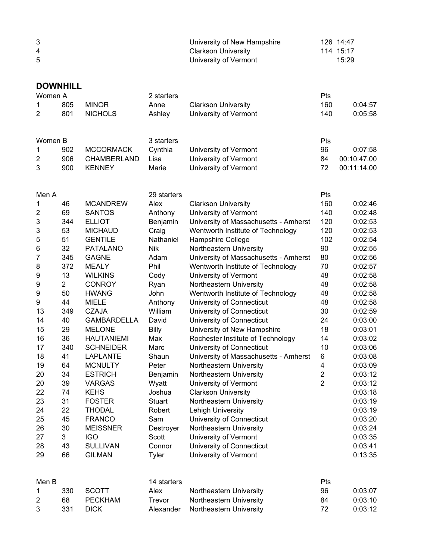| 3<br>4<br>5 |                 |                    |               | University of New Hampshire<br><b>Clarkson University</b><br>University of Vermont |                | 126 14:47<br>114 15:17<br>15:29 |
|-------------|-----------------|--------------------|---------------|------------------------------------------------------------------------------------|----------------|---------------------------------|
|             | <b>DOWNHILL</b> |                    |               |                                                                                    |                |                                 |
| Women A     |                 |                    | 2 starters    |                                                                                    | <b>Pts</b>     |                                 |
| 1           | 805             | <b>MINOR</b>       | Anne          | <b>Clarkson University</b>                                                         | 160            | 0:04:57                         |
| 2           | 801             | <b>NICHOLS</b>     | Ashley        | University of Vermont                                                              | 140            | 0:05:58                         |
| Women B     |                 |                    | 3 starters    |                                                                                    | <b>Pts</b>     |                                 |
| 1           | 902             | <b>MCCORMACK</b>   | Cynthia       | University of Vermont                                                              | 96             | 0:07:58                         |
| 2           | 906             | CHAMBERLAND        | Lisa          | University of Vermont                                                              | 84             | 00:10:47.00                     |
| 3           | 900             | <b>KENNEY</b>      | Marie         | University of Vermont                                                              | 72             | 00:11:14.00                     |
| Men A       |                 |                    | 29 starters   |                                                                                    | Pts            |                                 |
| 1           | 46              | <b>MCANDREW</b>    | Alex          | <b>Clarkson University</b>                                                         | 160            | 0:02:46                         |
| 2           | 69              | <b>SANTOS</b>      | Anthony       | University of Vermont                                                              | 140            | 0:02:48                         |
| 3           | 344             | <b>ELLIOT</b>      | Benjamin      | University of Massachusetts - Amherst                                              | 120            | 0:02:53                         |
| 3           | 53              | <b>MICHAUD</b>     | Craig         | Wentworth Institute of Technology                                                  | 120            | 0:02:53                         |
| 5           | 51              | <b>GENTILE</b>     | Nathaniel     | Hampshire College                                                                  | 102            | 0:02:54                         |
| 6           | 32              | <b>PATALANO</b>    | <b>Nik</b>    | Northeastern University                                                            | 90             | 0:02:55                         |
| 7           | 345             | <b>GAGNE</b>       | Adam          | University of Massachusetts - Amherst                                              | 80             | 0:02:56                         |
| 8           | 372             | <b>MEALY</b>       | Phil          | Wentworth Institute of Technology                                                  | 70             | 0:02:57                         |
| 9           | 13              | <b>WILKINS</b>     | Cody          | University of Vermont                                                              | 48             | 0:02:58                         |
| 9           | $\overline{2}$  | <b>CONROY</b>      | Ryan          | Northeastern University                                                            | 48             | 0:02:58                         |
| 9           | 50              | <b>HWANG</b>       | John          | Wentworth Institute of Technology                                                  | 48             | 0:02:58                         |
| 9           | 44              | <b>MIELE</b>       | Anthony       | University of Connecticut                                                          | 48             | 0:02:58                         |
| 13          | 349             | <b>CZAJA</b>       | William       | University of Connecticut                                                          | 30             | 0:02:59                         |
| 14          | 40              | <b>GAMBARDELLA</b> | David         | University of Connecticut                                                          | 24             | 0:03:00                         |
| 15          | 29              | <b>MELONE</b>      | <b>Billy</b>  | University of New Hampshire                                                        | 18             | 0:03:01                         |
| 16          | 36              | <b>HAUTANIEMI</b>  | Max           | Rochester Institute of Technology                                                  | 14             | 0:03:02                         |
| 17          | 340             | <b>SCHNEIDER</b>   | Marc          | University of Connecticut                                                          | 10             | 0:03:06                         |
| 18          | 41              | LAPLANTE           | Shaun         | University of Massachusetts - Amherst                                              | 6              | 0:03:08                         |
| 19          | 64              | <b>MCNULTY</b>     | Peter         | Northeastern University                                                            | 4              | 0:03:09                         |
| 20          | 34              | <b>ESTRICH</b>     | Benjamin      | Northeastern University                                                            | 2              | 0:03:12                         |
| 20          | 39              | <b>VARGAS</b>      | Wyatt         | University of Vermont                                                              | $\overline{2}$ | 0:03:12                         |
| 22          | 74              | <b>KEHS</b>        | Joshua        | <b>Clarkson University</b>                                                         |                | 0:03:18                         |
| 23          | 31              | <b>FOSTER</b>      | <b>Stuart</b> | Northeastern University                                                            |                | 0:03:19                         |
| 24          | 22              | <b>THODAL</b>      | Robert        | Lehigh University                                                                  |                | 0:03:19                         |
| 25          | 45              | <b>FRANCO</b>      | Sam           | University of Connecticut                                                          |                | 0:03:20                         |
| 26          | 30              | <b>MEISSNER</b>    | Destroyer     | Northeastern University                                                            |                | 0:03:24                         |
| 27          | 3               | <b>IGO</b>         | Scott         | University of Vermont                                                              |                | 0:03:35                         |
| 28          | 43              | <b>SULLIVAN</b>    | Connor        | University of Connecticut                                                          |                | 0:03:41                         |
| 29          | 66              | <b>GILMAN</b>      | <b>Tyler</b>  | University of Vermont                                                              |                | 0:13:35                         |
|             |                 |                    |               |                                                                                    |                |                                 |

| Men B |     |             | 14 starters |                                   | Pts |         |
|-------|-----|-------------|-------------|-----------------------------------|-----|---------|
|       | 330 | SCOTT       | Alex        | Northeastern University           | 96  | 0:03:07 |
|       | 68  | PECKHAM     | Trevor      | Northeastern University           | 84  | 0:03:10 |
| 3     | 331 | <b>DICK</b> |             | Alexander Northeastern University | 72  | 0:03:12 |